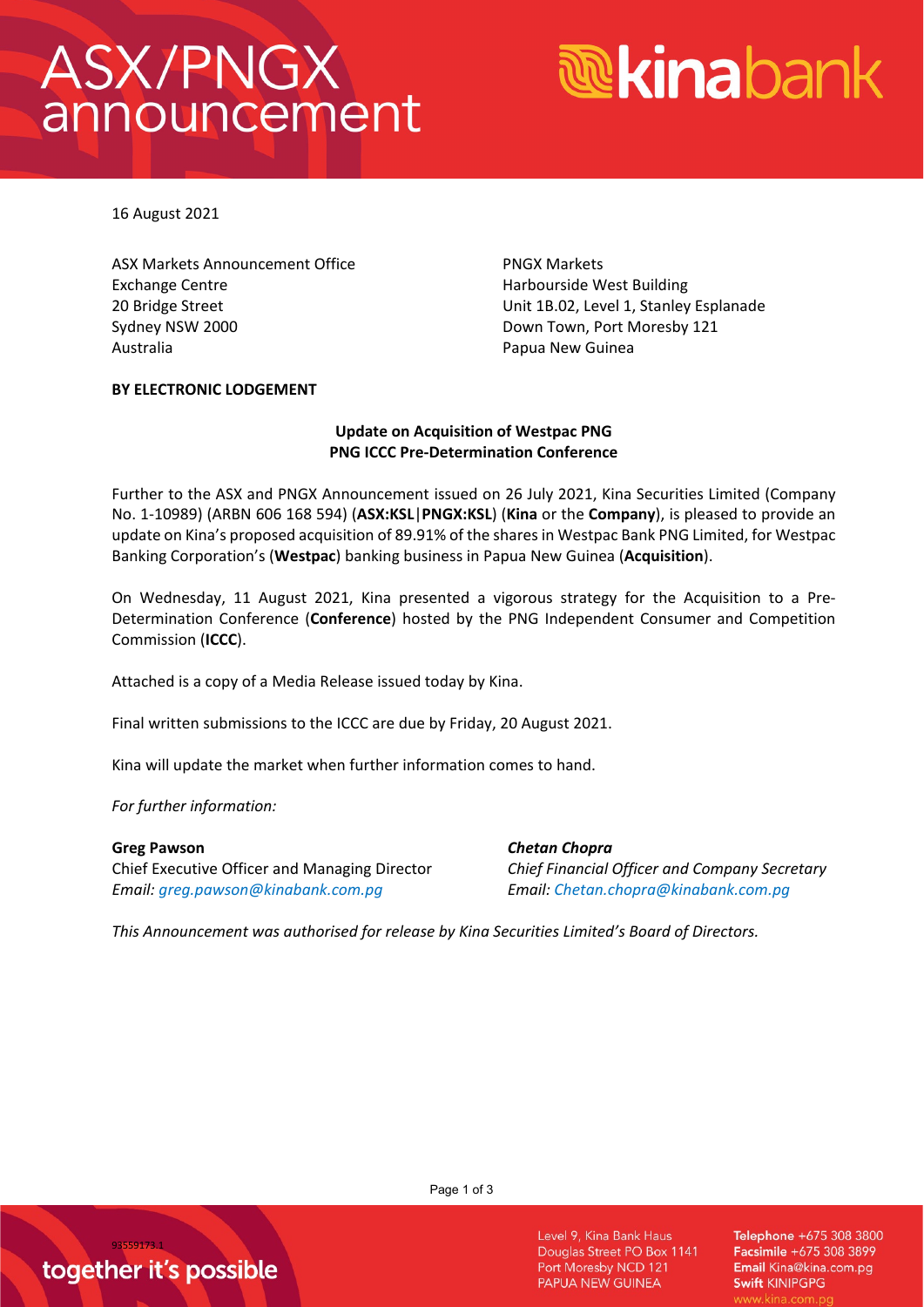## **ASX/PNGX** announcement

# *<u><b>* Kinabank</u>

16 August 2021

ASX Markets Announcement Office PNGX Markets Exchange Centre **Exchange Centre Exchange Centre** Harbourside West Building Sydney NSW 2000 **Down Town, Port Moresby 121** Australia **Australia** Papua New Guinea

20 Bridge Street Unit 1B.02, Level 1, Stanley Esplanade

## **BY ELECTRONIC LODGEMENT**

## **Update on Acquisition of Westpac PNG PNG ICCC Pre-Determination Conference**

Further to the ASX and PNGX Announcement issued on 26 July 2021, Kina Securities Limited (Company No. 1-10989) (ARBN 606 168 594) (**ASX:KSL**|**PNGX:KSL**) (**Kina** or the **Company**), is pleased to provide an update on Kina's proposed acquisition of 89.91% of the shares in Westpac Bank PNG Limited, for Westpac Banking Corporation's (**Westpac**) banking business in Papua New Guinea (**Acquisition**).

On Wednesday, 11 August 2021, Kina presented a vigorous strategy for the Acquisition to a Pre-Determination Conference (**Conference**) hosted by the PNG Independent Consumer and Competition Commission (**ICCC**).

Attached is a copy of a Media Release issued today by Kina.

Final written submissions to the ICCC are due by Friday, 20 August 2021.

Kina will update the market when further information comes to hand.

*For further information:* 

### **Greg Pawson**

Chief Executive Officer and Managing Director *Email: [greg.pawson@kinabank.com.pg](mailto:greg.pawson@kinabank.com.pg)*

*Chetan Chopra Chief Financial Officer and Company Secretary Email: [Chetan.chopra@kinabank.com.pg](mailto:Chetan.chopra@kinabank.com.pg)*

*This Announcement was authorised for release by Kina Securities Limited's Board of Directors.*

Page 1 of 3

Level 9, Kina Bank Haus Douglas Street PO Box 1141 Port Moresby NCD 121 PAPUA NEW GUINEA

Telephone +675 308 3800 Facsimile +675 308 3899 Email Kina@kina.com.pg Swift KINIPGPG

93559173.1 together it's possible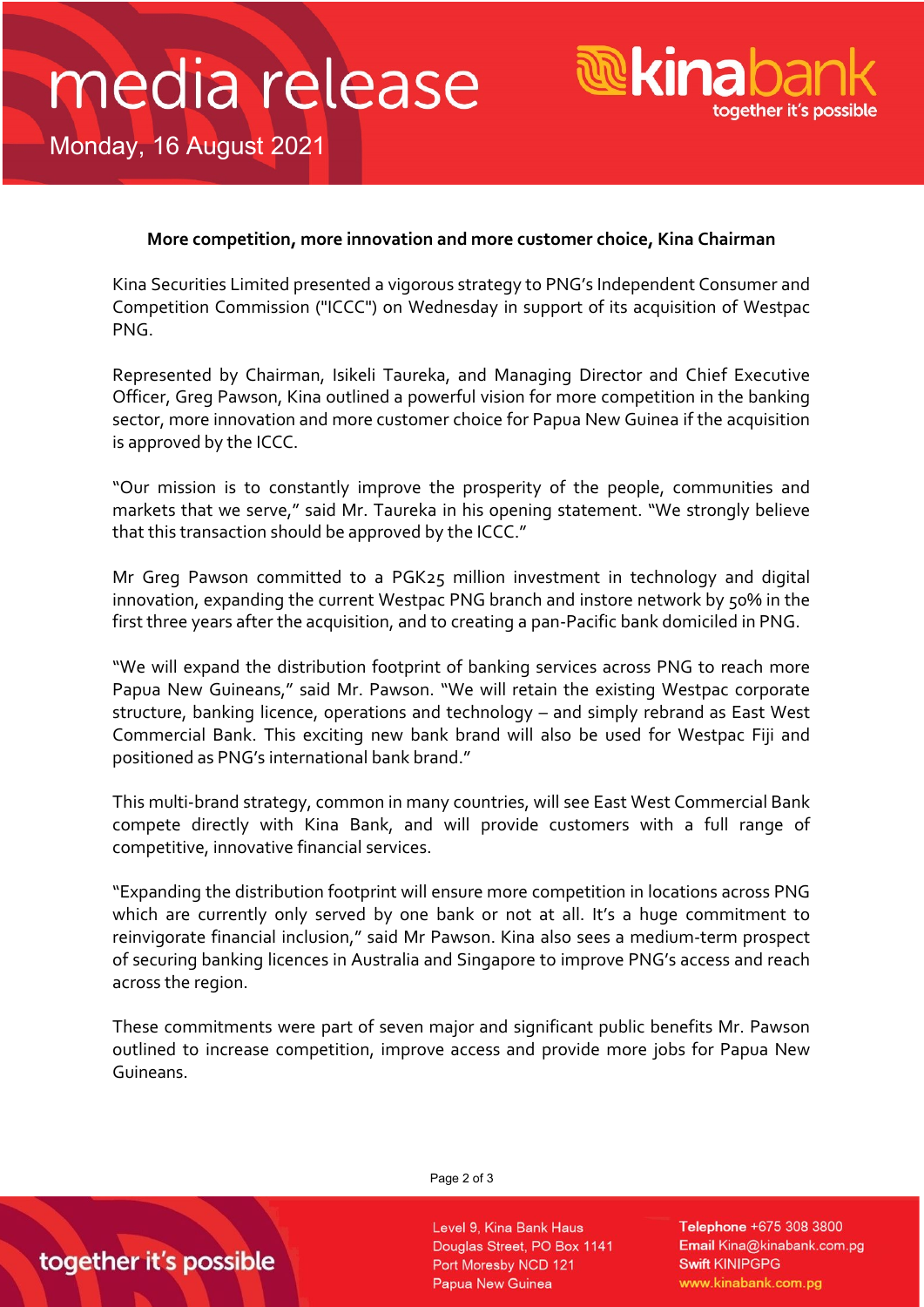## media release



Monday, 16 August 2021

## **More competition, more innovation and more customer choice, Kina Chairman**

Kina Securities Limited presented a vigorous strategy to PNG's Independent Consumer and Competition Commission ("ICCC") on Wednesday in support of its acquisition of Westpac PNG.

Represented by Chairman, Isikeli Taureka, and Managing Director and Chief Executive Officer, Greg Pawson, Kina outlined a powerful vision for more competition in the banking sector, more innovation and more customer choice for Papua New Guinea if the acquisition is approved by the ICCC.

"Our mission is to constantly improve the prosperity of the people, communities and markets that we serve," said Mr. Taureka in his opening statement. "We strongly believe that this transaction should be approved by the ICCC."

Mr Greg Pawson committed to a PGK25 million investment in technology and digital innovation, expanding the current Westpac PNG branch and instore network by 50% in the first three years after the acquisition, and to creating a pan-Pacific bank domiciled in PNG.

"We will expand the distribution footprint of banking services across PNG to reach more Papua New Guineans," said Mr. Pawson. "We will retain the existing Westpac corporate structure, banking licence, operations and technology – and simply rebrand as East West Commercial Bank. This exciting new bank brand will also be used for Westpac Fiji and positioned as PNG's international bank brand."

This multi-brand strategy, common in many countries, will see East West Commercial Bank compete directly with Kina Bank, and will provide customers with a full range of competitive, innovative financial services.

"Expanding the distribution footprint will ensure more competition in locations across PNG which are currently only served by one bank or not at all. It's a huge commitment to reinvigorate financial inclusion," said Mr Pawson. Kina also sees a medium-term prospect of securing banking licences in Australia and Singapore to improve PNG's access and reach across the region.

These commitments were part of seven major and significant public benefits Mr. Pawson outlined to increase competition, improve access and provide more jobs for Papua New Guineans.

### Page 2 of 3

Level 9, Kina Bank Haus Douglas Street, PO Box 1141 Port Moresby NCD 121 Papua New Guinea

Telephone +675 308 3800 Email Kina@kinabank.com.pg **Swift KINIPGPG** www.kinabank.com.pg

## together it's possible